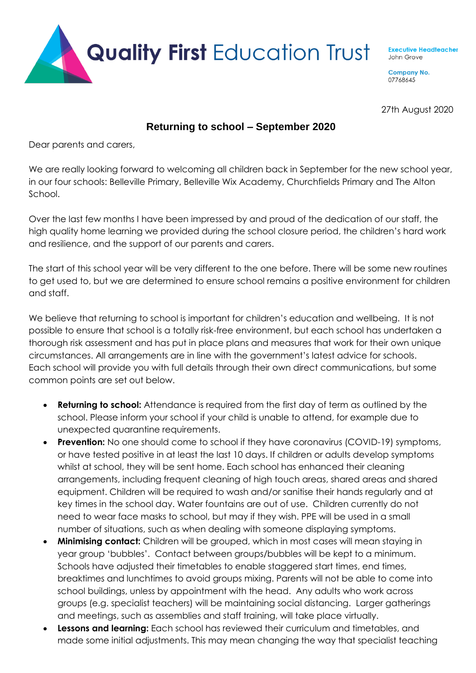

**Executive Headteacher** John Grove

**Company No.** 07768645

27th August 2020

## **Returning to school – September 2020**

Dear parents and carers,

We are really looking forward to welcoming all children back in September for the new school year, in our four schools: Belleville Primary, Belleville Wix Academy, Churchfields Primary and The Alton School.

Over the last few months I have been impressed by and proud of the dedication of our staff, the high quality home learning we provided during the school closure period, the children's hard work and resilience, and the support of our parents and carers.

The start of this school year will be very different to the one before. There will be some new routines to get used to, but we are determined to ensure school remains a positive environment for children and staff.

We believe that returning to school is important for children's education and wellbeing. It is not possible to ensure that school is a totally risk-free environment, but each school has undertaken a thorough risk assessment and has put in place plans and measures that work for their own unique circumstances. All arrangements are in line with the government's latest advice for schools. Each school will provide you with full details through their own direct communications, but some common points are set out below.

- **Returning to school:** Attendance is required from the first day of term as outlined by the school. Please inform your school if your child is unable to attend, for example due to unexpected quarantine requirements.
- **Prevention:** No one should come to school if they have coronavirus (COVID-19) symptoms, or have tested positive in at least the last 10 days. If children or adults develop symptoms whilst at school, they will be sent home. Each school has enhanced their cleaning arrangements, including frequent cleaning of high touch areas, shared areas and shared equipment. Children will be required to wash and/or sanitise their hands regularly and at key times in the school day. Water fountains are out of use. Children currently do not need to wear face masks to school, but may if they wish. PPE will be used in a small number of situations, such as when dealing with someone displaying symptoms.
- **Minimising contact:** Children will be grouped, which in most cases will mean staying in year group 'bubbles'. Contact between groups/bubbles will be kept to a minimum. Schools have adjusted their timetables to enable staggered start times, end times, breaktimes and lunchtimes to avoid groups mixing. Parents will not be able to come into school buildings, unless by appointment with the head. Any adults who work across groups (e.g. specialist teachers) will be maintaining social distancing. Larger gatherings and meetings, such as assemblies and staff training, will take place virtually.
- **Lessons and learning:** Each school has reviewed their curriculum and timetables, and made some initial adjustments. This may mean changing the way that specialist teaching